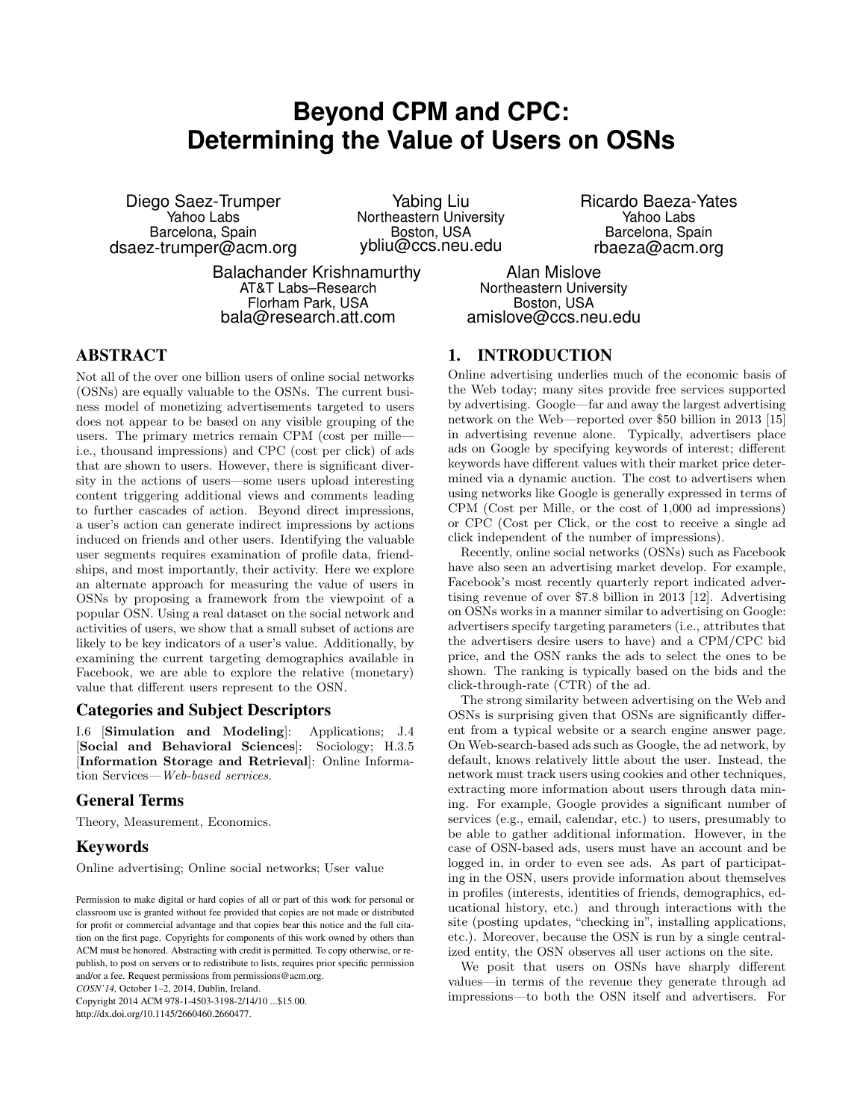# **Beyond CPM and CPC: Determining the Value of Users on OSNs**

Diego Saez-Trumper Yahoo Labs Barcelona, Spain dsaez-trumper@acm.org

Yabing Liu Northeastern University Boston, USA ybliu@ccs.neu.edu

Balachander Krishnamurthy AT&T Labs–Research Florham Park, USA bala@research.att.com

Ricardo Baeza-Yates Yahoo Labs Barcelona, Spain rbaeza@acm.org

Alan Mislove Northeastern University Boston, USA amislove@ccs.neu.edu

# ABSTRACT

Not all of the over one billion users of online social networks (OSNs) are equally valuable to the OSNs. The current business model of monetizing advertisements targeted to users does not appear to be based on any visible grouping of the users. The primary metrics remain CPM (cost per mille i.e., thousand impressions) and CPC (cost per click) of ads that are shown to users. However, there is significant diversity in the actions of users—some users upload interesting content triggering additional views and comments leading to further cascades of action. Beyond direct impressions, a user's action can generate indirect impressions by actions induced on friends and other users. Identifying the valuable user segments requires examination of profile data, friendships, and most importantly, their activity. Here we explore an alternate approach for measuring the value of users in OSNs by proposing a framework from the viewpoint of a popular OSN. Using a real dataset on the social network and activities of users, we show that a small subset of actions are likely to be key indicators of a user's value. Additionally, by examining the current targeting demographics available in Facebook, we are able to explore the relative (monetary) value that different users represent to the OSN.

#### Categories and Subject Descriptors

I.6 [Simulation and Modeling]: Applications; J.4 [Social and Behavioral Sciences]: Sociology; H.3.5 [Information Storage and Retrieval]: Online Information Services*—Web-based services*.

# General Terms

Theory, Measurement, Economics.

# Keywords

Online advertising; Online social networks; User value

*COSN'14,* October 1–2, 2014, Dublin, Ireland.

Copyright 2014 ACM 978-1-4503-3198-2/14/10 ...\$15.00. http://dx.doi.org/10.1145/2660460.2660477.

# 1. INTRODUCTION

Online advertising underlies much of the economic basis of the Web today; many sites provide free services supported by advertising. Google—far and away the largest advertising network on the Web—reported over \$50 billion in 2013 [15] in advertising revenue alone. Typically, advertisers place ads on Google by specifying keywords of interest; different keywords have different values with their market price determined via a dynamic auction. The cost to advertisers when using networks like Google is generally expressed in terms of CPM (Cost per Mille, or the cost of 1,000 ad impressions) or CPC (Cost per Click, or the cost to receive a single ad click independent of the number of impressions).

Recently, online social networks (OSNs) such as Facebook have also seen an advertising market develop. For example, Facebook's most recently quarterly report indicated advertising revenue of over \$7.8 billion in 2013 [12]. Advertising on OSNs works in a manner similar to advertising on Google: advertisers specify targeting parameters (i.e., attributes that the advertisers desire users to have) and a CPM/CPC bid price, and the OSN ranks the ads to select the ones to be shown. The ranking is typically based on the bids and the click-through-rate (CTR) of the ad.

The strong similarity between advertising on the Web and OSNs is surprising given that OSNs are significantly different from a typical website or a search engine answer page. On Web-search-based ads such as Google, the ad network, by default, knows relatively little about the user. Instead, the network must track users using cookies and other techniques, extracting more information about users through data mining. For example, Google provides a significant number of services (e.g., email, calendar, etc.) to users, presumably to be able to gather additional information. However, in the case of OSN-based ads, users must have an account and be logged in, in order to even see ads. As part of participating in the OSN, users provide information about themselves in profiles (interests, identities of friends, demographics, educational history, etc.) and through interactions with the site (posting updates, "checking in", installing applications, etc.). Moreover, because the OSN is run by a single centralized entity, the OSN observes all user actions on the site.

We posit that users on OSNs have sharply different values—in terms of the revenue they generate through ad impressions—to both the OSN itself and advertisers. For

Permission to make digital or hard copies of all or part of this work for personal or classroom use is granted without fee provided that copies are not made or distributed for profit or commercial advantage and that copies bear this notice and the full citation on the first page. Copyrights for components of this work owned by others than ACM must be honored. Abstracting with credit is permitted. To copy otherwise, or republish, to post on servers or to redistribute to lists, requires prior specific permission and/or a fee. Request permissions from permissions@acm.org.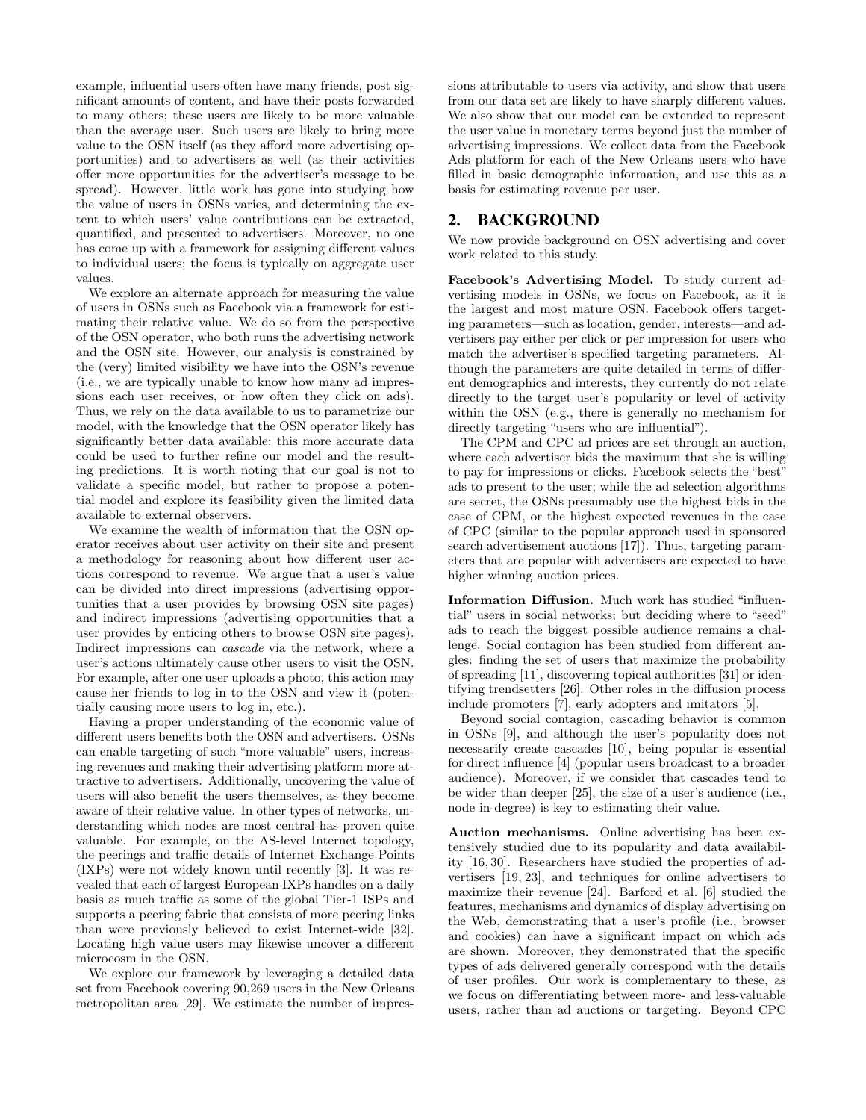example, influential users often have many friends, post significant amounts of content, and have their posts forwarded to many others; these users are likely to be more valuable than the average user. Such users are likely to bring more value to the OSN itself (as they afford more advertising opportunities) and to advertisers as well (as their activities offer more opportunities for the advertiser's message to be spread). However, little work has gone into studying how the value of users in OSNs varies, and determining the extent to which users' value contributions can be extracted, quantified, and presented to advertisers. Moreover, no one has come up with a framework for assigning different values to individual users; the focus is typically on aggregate user values.

We explore an alternate approach for measuring the value of users in OSNs such as Facebook via a framework for estimating their relative value. We do so from the perspective of the OSN operator, who both runs the advertising network and the OSN site. However, our analysis is constrained by the (very) limited visibility we have into the OSN's revenue (i.e., we are typically unable to know how many ad impressions each user receives, or how often they click on ads). Thus, we rely on the data available to us to parametrize our model, with the knowledge that the OSN operator likely has significantly better data available; this more accurate data could be used to further refine our model and the resulting predictions. It is worth noting that our goal is not to validate a specific model, but rather to propose a potential model and explore its feasibility given the limited data available to external observers.

We examine the wealth of information that the OSN operator receives about user activity on their site and present a methodology for reasoning about how different user actions correspond to revenue. We argue that a user's value can be divided into direct impressions (advertising opportunities that a user provides by browsing OSN site pages) and indirect impressions (advertising opportunities that a user provides by enticing others to browse OSN site pages). Indirect impressions can *cascade* via the network, where a user's actions ultimately cause other users to visit the OSN. For example, after one user uploads a photo, this action may cause her friends to log in to the OSN and view it (potentially causing more users to log in, etc.).

Having a proper understanding of the economic value of different users benefits both the OSN and advertisers. OSNs can enable targeting of such "more valuable" users, increasing revenues and making their advertising platform more attractive to advertisers. Additionally, uncovering the value of users will also benefit the users themselves, as they become aware of their relative value. In other types of networks, understanding which nodes are most central has proven quite valuable. For example, on the AS-level Internet topology, the peerings and traffic details of Internet Exchange Points (IXPs) were not widely known until recently [3]. It was revealed that each of largest European IXPs handles on a daily basis as much traffic as some of the global Tier-1 ISPs and supports a peering fabric that consists of more peering links than were previously believed to exist Internet-wide [32]. Locating high value users may likewise uncover a different microcosm in the OSN.

We explore our framework by leveraging a detailed data set from Facebook covering 90,269 users in the New Orleans metropolitan area [29]. We estimate the number of impressions attributable to users via activity, and show that users from our data set are likely to have sharply different values. We also show that our model can be extended to represent the user value in monetary terms beyond just the number of advertising impressions. We collect data from the Facebook Ads platform for each of the New Orleans users who have filled in basic demographic information, and use this as a basis for estimating revenue per user.

# 2. BACKGROUND

We now provide background on OSN advertising and cover work related to this study.

Facebook's Advertising Model. To study current advertising models in OSNs, we focus on Facebook, as it is the largest and most mature OSN. Facebook offers targeting parameters—such as location, gender, interests—and advertisers pay either per click or per impression for users who match the advertiser's specified targeting parameters. Although the parameters are quite detailed in terms of different demographics and interests, they currently do not relate directly to the target user's popularity or level of activity within the OSN (e.g., there is generally no mechanism for directly targeting "users who are influential").

The CPM and CPC ad prices are set through an auction, where each advertiser bids the maximum that she is willing to pay for impressions or clicks. Facebook selects the "best" ads to present to the user; while the ad selection algorithms are secret, the OSNs presumably use the highest bids in the case of CPM, or the highest expected revenues in the case of CPC (similar to the popular approach used in sponsored search advertisement auctions [17]). Thus, targeting parameters that are popular with advertisers are expected to have higher winning auction prices.

Information Diffusion. Much work has studied "influential" users in social networks; but deciding where to "seed" ads to reach the biggest possible audience remains a challenge. Social contagion has been studied from different angles: finding the set of users that maximize the probability of spreading [11], discovering topical authorities [31] or identifying trendsetters  $[26]$ . Other roles in the diffusion process include promoters [7], early adopters and imitators [5].

Beyond social contagion, cascading behavior is common in OSNs [9], and although the user's popularity does not necessarily create cascades [10], being popular is essential for direct influence [4] (popular users broadcast to a broader audience). Moreover, if we consider that cascades tend to be wider than deeper [25], the size of a user's audience (i.e., node in-degree) is key to estimating their value.

Auction mechanisms. Online advertising has been extensively studied due to its popularity and data availability [16, 30]. Researchers have studied the properties of advertisers [19, 23], and techniques for online advertisers to maximize their revenue [24]. Barford et al. [6] studied the features, mechanisms and dynamics of display advertising on the Web, demonstrating that a user's profile (i.e., browser and cookies) can have a significant impact on which ads are shown. Moreover, they demonstrated that the specific types of ads delivered generally correspond with the details of user profiles. Our work is complementary to these, as we focus on differentiating between more- and less-valuable users, rather than ad auctions or targeting. Beyond CPC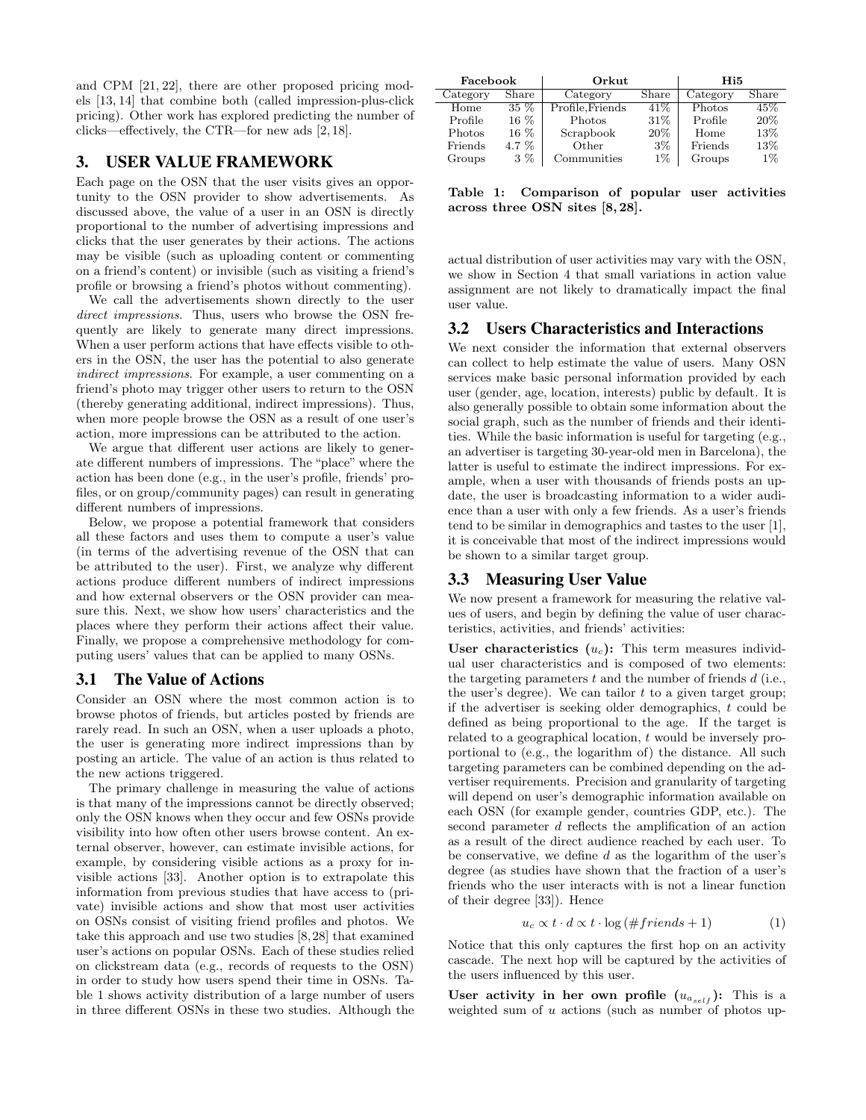and CPM [21, 22], there are other proposed pricing models [13, 14] that combine both (called impression-plus-click pricing). Other work has explored predicting the number of clicks—effectively, the CTR—for new ads  $[2, 18]$ .

# 3. USER VALUE FRAMEWORK

Each page on the OSN that the user visits gives an opportunity to the OSN provider to show advertisements. As discussed above, the value of a user in an OSN is directly proportional to the number of advertising impressions and clicks that the user generates by their actions. The actions may be visible (such as uploading content or commenting on a friend's content) or invisible (such as visiting a friend's profile or browsing a friend's photos without commenting).

We call the advertisements shown directly to the user *direct impressions*. Thus, users who browse the OSN frequently are likely to generate many direct impressions. When a user perform actions that have effects visible to others in the OSN, the user has the potential to also generate *indirect impressions*. For example, a user commenting on a friend's photo may trigger other users to return to the OSN (thereby generating additional, indirect impressions). Thus, when more people browse the OSN as a result of one user's action, more impressions can be attributed to the action.

We argue that different user actions are likely to generate different numbers of impressions. The "place" where the action has been done (e.g., in the user's profile, friends' profiles, or on group/community pages) can result in generating different numbers of impressions.

Below, we propose a potential framework that considers all these factors and uses them to compute a user's value (in terms of the advertising revenue of the OSN that can be attributed to the user). First, we analyze why different actions produce different numbers of indirect impressions and how external observers or the OSN provider can measure this. Next, we show how users' characteristics and the places where they perform their actions affect their value. Finally, we propose a comprehensive methodology for computing users' values that can be applied to many OSNs.

#### 3.1 The Value of Actions

Consider an OSN where the most common action is to browse photos of friends, but articles posted by friends are rarely read. In such an OSN, when a user uploads a photo, the user is generating more indirect impressions than by posting an article. The value of an action is thus related to the new actions triggered.

The primary challenge in measuring the value of actions is that many of the impressions cannot be directly observed; only the OSN knows when they occur and few OSNs provide visibility into how often other users browse content. An external observer, however, can estimate invisible actions, for example, by considering visible actions as a proxy for invisible actions [33]. Another option is to extrapolate this information from previous studies that have access to (private) invisible actions and show that most user activities on OSNs consist of visiting friend profiles and photos. We take this approach and use two studies [8,28] that examined user's actions on popular OSNs. Each of these studies relied on clickstream data (e.g., records of requests to the OSN) in order to study how users spend their time in OSNs. Table 1 shows activity distribution of a large number of users in three different OSNs in these two studies. Although the

| Facebook |         | Orkut           |       | Hi5      |       |
|----------|---------|-----------------|-------|----------|-------|
| Category | Share   | Category        | Share | Category | Share |
| Home     | $35\%$  | Profile.Friends | 41\%  | Photos   | 45%   |
| Profile  | $16\%$  | Photos          | 31\%  | Profile  | 20%   |
| Photos   | $16\%$  | Scrapbook       | 20%   | Home     | 13%   |
| Friends  | $4.7\%$ | Other           | 3%    | Friends  | 13%   |
| Groups   | $3\%$   | Communities     | $1\%$ | Groups   | $1\%$ |

Table 1: Comparison of popular user activities across three OSN sites [8, 28].

actual distribution of user activities may vary with the OSN, we show in Section 4 that small variations in action value assignment are not likely to dramatically impact the final user value.

#### 3.2 Users Characteristics and Interactions

We next consider the information that external observers can collect to help estimate the value of users. Many OSN services make basic personal information provided by each user (gender, age, location, interests) public by default. It is also generally possible to obtain some information about the social graph, such as the number of friends and their identities. While the basic information is useful for targeting (e.g., an advertiser is targeting 30-year-old men in Barcelona), the latter is useful to estimate the indirect impressions. For example, when a user with thousands of friends posts an update, the user is broadcasting information to a wider audience than a user with only a few friends. As a user's friends tend to be similar in demographics and tastes to the user [1], it is conceivable that most of the indirect impressions would be shown to a similar target group.

#### 3.3 Measuring User Value

We now present a framework for measuring the relative values of users, and begin by defining the value of user characteristics, activities, and friends' activities:

User characteristics  $(u_c)$ : This term measures individual user characteristics and is composed of two elements: the targeting parameters *t* and the number of friends *d* (i.e., the user's degree). We can tailor *t* to a given target group; if the advertiser is seeking older demographics, *t* could be defined as being proportional to the age. If the target is related to a geographical location, *t* would be inversely proportional to (e.g., the logarithm of) the distance. All such targeting parameters can be combined depending on the advertiser requirements. Precision and granularity of targeting will depend on user's demographic information available on each OSN (for example gender, countries GDP, etc.). The second parameter *d* reflects the amplification of an action as a result of the direct audience reached by each user. To be conservative, we define *d* as the logarithm of the user's degree (as studies have shown that the fraction of a user's friends who the user interacts with is not a linear function of their degree [33]). Hence

$$
u_c \propto t \cdot d \propto t \cdot \log \left( \#friends + 1 \right) \tag{1}
$$

Notice that this only captures the first hop on an activity cascade. The next hop will be captured by the activities of the users influenced by this user.

User activity in her own profile  $(u_{a_{self}})$ : This is a weighted sum of *u* actions (such as number of photos up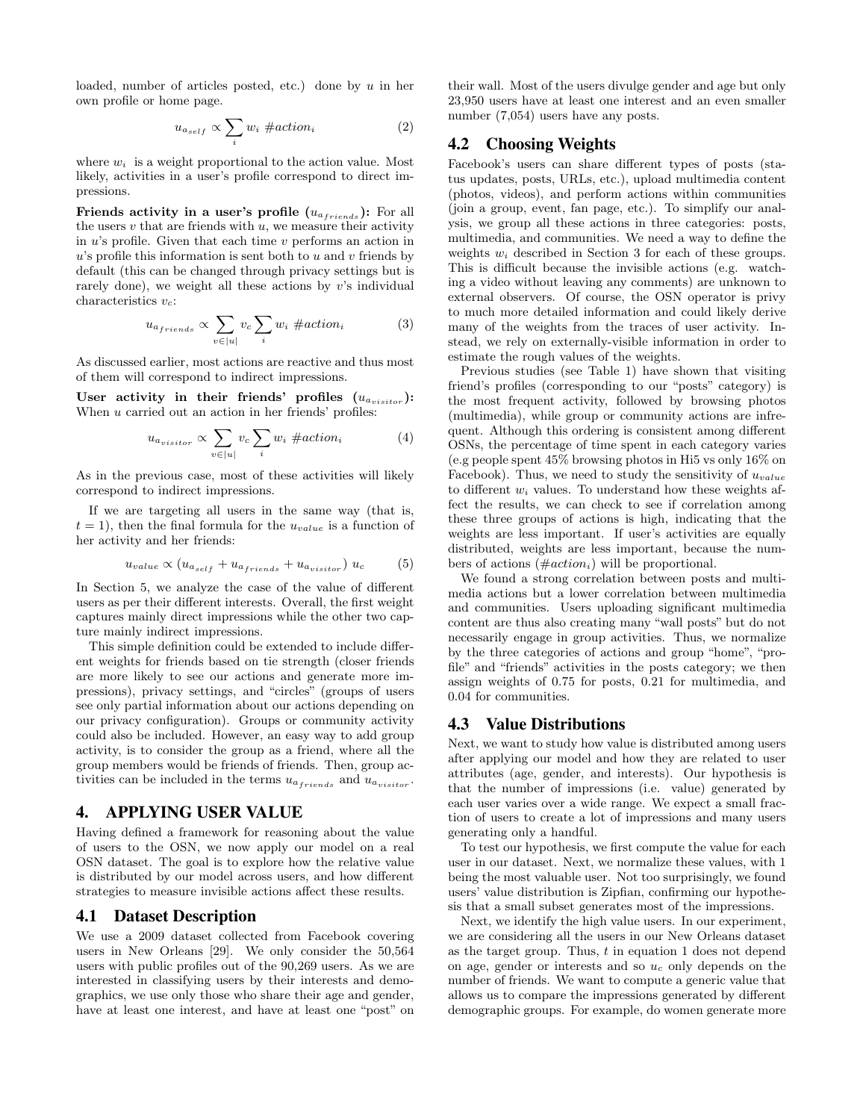loaded, number of articles posted, etc.) done by *u* in her own profile or home page.

$$
u_{a_{self}} \propto \sum_{i} w_i \# action_i \tag{2}
$$

where  $w_i$  is a weight proportional to the action value. Most likely, activities in a user's profile correspond to direct impressions.

**Friends activity in a user's profile**  $(u_{a_{friends}})$ **:** For all the users  $v$  that are friends with  $u$ , we measure their activity in *u*'s profile. Given that each time *v* performs an action in *u*'s profile this information is sent both to *u* and *v* friends by default (this can be changed through privacy settings but is rarely done), we weight all these actions by *v*'s individual characteristics *vc*:

$$
u_{a_{friends}} \propto \sum_{v \in [u]} v_c \sum_i w_i \neq action_i \tag{3}
$$

As discussed earlier, most actions are reactive and thus most of them will correspond to indirect impressions.

User activity in their friends' profiles  $(u_{a_{misitor}})$ : When *u* carried out an action in her friends' profiles:

$$
u_{a_{visitor}} \propto \sum_{v \in |u|} v_c \sum_i w_i \neq action_i \tag{4}
$$

As in the previous case, most of these activities will likely correspond to indirect impressions.

If we are targeting all users in the same way (that is,  $t = 1$ , then the final formula for the  $u_{value}$  is a function of her activity and her friends:

$$
u_{value} \propto (u_{a_{self}} + u_{a_{friends}} + u_{a_{visitor}}) u_c \tag{5}
$$

In Section 5, we analyze the case of the value of different users as per their different interests. Overall, the first weight captures mainly direct impressions while the other two capture mainly indirect impressions.

This simple definition could be extended to include different weights for friends based on tie strength (closer friends are more likely to see our actions and generate more impressions), privacy settings, and "circles" (groups of users see only partial information about our actions depending on our privacy configuration). Groups or community activity could also be included. However, an easy way to add group activity, is to consider the group as a friend, where all the group members would be friends of friends. Then, group activities can be included in the terms  $u_{a_{fr $i}$ <sub>riends</sub> and  $u_{a_{visitor}}$ .$ 

# 4. APPLYING USER VALUE

Having defined a framework for reasoning about the value of users to the OSN, we now apply our model on a real OSN dataset. The goal is to explore how the relative value is distributed by our model across users, and how different strategies to measure invisible actions affect these results.

#### 4.1 Dataset Description

We use a 2009 dataset collected from Facebook covering users in New Orleans [29]. We only consider the 50,564 users with public profiles out of the 90,269 users. As we are interested in classifying users by their interests and demographics, we use only those who share their age and gender, have at least one interest, and have at least one "post" on their wall. Most of the users divulge gender and age but only 23,950 users have at least one interest and an even smaller number (7,054) users have any posts.

#### 4.2 Choosing Weights

Facebook's users can share different types of posts (status updates, posts, URLs, etc.), upload multimedia content (photos, videos), and perform actions within communities (join a group, event, fan page, etc.). To simplify our analysis, we group all these actions in three categories: posts, multimedia, and communities. We need a way to define the weights *w<sup>i</sup>* described in Section 3 for each of these groups. This is difficult because the invisible actions (e.g. watching a video without leaving any comments) are unknown to external observers. Of course, the OSN operator is privy to much more detailed information and could likely derive many of the weights from the traces of user activity. Instead, we rely on externally-visible information in order to estimate the rough values of the weights.

Previous studies (see Table 1) have shown that visiting friend's profiles (corresponding to our "posts" category) is the most frequent activity, followed by browsing photos (multimedia), while group or community actions are infrequent. Although this ordering is consistent among different OSNs, the percentage of time spent in each category varies (e.g people spent 45% browsing photos in Hi5 vs only 16% on Facebook). Thus, we need to study the sensitivity of *uvalue* to different  $w_i$  values. To understand how these weights affect the results, we can check to see if correlation among these three groups of actions is high, indicating that the weights are less important. If user's activities are equally distributed, weights are less important, because the numbers of actions (#*actioni*) will be proportional.

We found a strong correlation between posts and multimedia actions but a lower correlation between multimedia and communities. Users uploading significant multimedia content are thus also creating many "wall posts" but do not necessarily engage in group activities. Thus, we normalize by the three categories of actions and group "home", "profile" and "friends" activities in the posts category; we then assign weights of 0.75 for posts, 0.21 for multimedia, and 0.04 for communities.

# 4.3 Value Distributions

Next, we want to study how value is distributed among users after applying our model and how they are related to user attributes (age, gender, and interests). Our hypothesis is that the number of impressions (i.e. value) generated by each user varies over a wide range. We expect a small fraction of users to create a lot of impressions and many users generating only a handful.

To test our hypothesis, we first compute the value for each user in our dataset. Next, we normalize these values, with 1 being the most valuable user. Not too surprisingly, we found users' value distribution is Zipfian, confirming our hypothesis that a small subset generates most of the impressions.

Next, we identify the high value users. In our experiment, we are considering all the users in our New Orleans dataset as the target group. Thus, *t* in equation 1 does not depend on age, gender or interests and so *u<sup>c</sup>* only depends on the number of friends. We want to compute a generic value that allows us to compare the impressions generated by different demographic groups. For example, do women generate more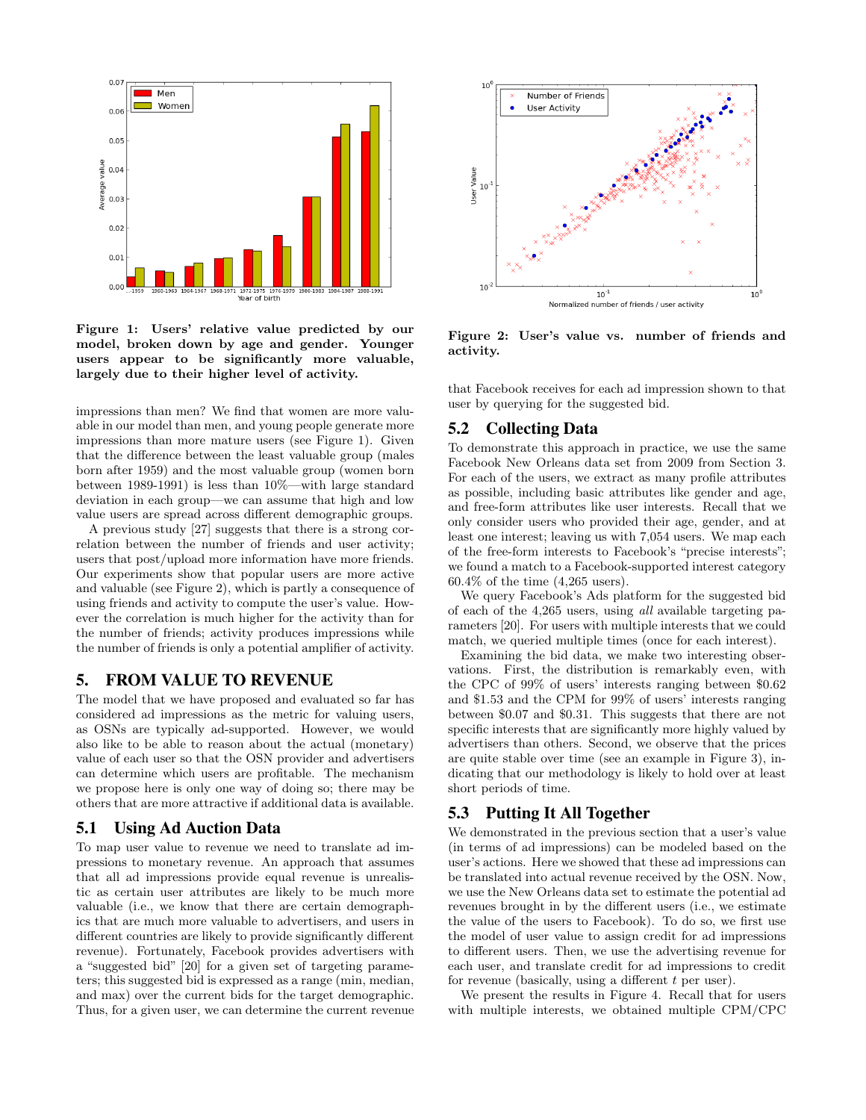

Figure 1: Users' relative value predicted by our model, broken down by age and gender. Younger users appear to be significantly more valuable, largely due to their higher level of activity.

impressions than men? We find that women are more valuable in our model than men, and young people generate more impressions than more mature users (see Figure 1). Given that the difference between the least valuable group (males born after 1959) and the most valuable group (women born between 1989-1991) is less than 10%—with large standard deviation in each group—we can assume that high and low value users are spread across different demographic groups.

A previous study [27] suggests that there is a strong correlation between the number of friends and user activity; users that post/upload more information have more friends. Our experiments show that popular users are more active and valuable (see Figure 2), which is partly a consequence of using friends and activity to compute the user's value. However the correlation is much higher for the activity than for the number of friends; activity produces impressions while the number of friends is only a potential amplifier of activity.

# 5. FROM VALUE TO REVENUE

The model that we have proposed and evaluated so far has considered ad impressions as the metric for valuing users, as OSNs are typically ad-supported. However, we would also like to be able to reason about the actual (monetary) value of each user so that the OSN provider and advertisers can determine which users are profitable. The mechanism we propose here is only one way of doing so; there may be others that are more attractive if additional data is available.

#### 5.1 Using Ad Auction Data

To map user value to revenue we need to translate ad impressions to monetary revenue. An approach that assumes that all ad impressions provide equal revenue is unrealistic as certain user attributes are likely to be much more valuable (i.e., we know that there are certain demographics that are much more valuable to advertisers, and users in different countries are likely to provide significantly different revenue). Fortunately, Facebook provides advertisers with a "suggested bid" [20] for a given set of targeting parameters; this suggested bid is expressed as a range (min, median, and max) over the current bids for the target demographic. Thus, for a given user, we can determine the current revenue



Figure 2: User's value vs. number of friends and activity.

that Facebook receives for each ad impression shown to that user by querying for the suggested bid.

# 5.2 Collecting Data

To demonstrate this approach in practice, we use the same Facebook New Orleans data set from 2009 from Section 3. For each of the users, we extract as many profile attributes as possible, including basic attributes like gender and age, and free-form attributes like user interests. Recall that we only consider users who provided their age, gender, and at least one interest; leaving us with 7,054 users. We map each of the free-form interests to Facebook's "precise interests"; we found a match to a Facebook-supported interest category 60.4% of the time (4,265 users).

We query Facebook's Ads platform for the suggested bid of each of the 4,265 users, using *all* available targeting parameters [20]. For users with multiple interests that we could match, we queried multiple times (once for each interest).

Examining the bid data, we make two interesting observations. First, the distribution is remarkably even, with the CPC of 99% of users' interests ranging between \$0.62 and \$1.53 and the CPM for 99% of users' interests ranging between \$0.07 and \$0.31. This suggests that there are not specific interests that are significantly more highly valued by advertisers than others. Second, we observe that the prices are quite stable over time (see an example in Figure 3), indicating that our methodology is likely to hold over at least short periods of time.

# 5.3 Putting It All Together

We demonstrated in the previous section that a user's value (in terms of ad impressions) can be modeled based on the user's actions. Here we showed that these ad impressions can be translated into actual revenue received by the OSN. Now, we use the New Orleans data set to estimate the potential ad revenues brought in by the different users (i.e., we estimate the value of the users to Facebook). To do so, we first use the model of user value to assign credit for ad impressions to different users. Then, we use the advertising revenue for each user, and translate credit for ad impressions to credit for revenue (basically, using a different *t* per user).

We present the results in Figure 4. Recall that for users with multiple interests, we obtained multiple CPM/CPC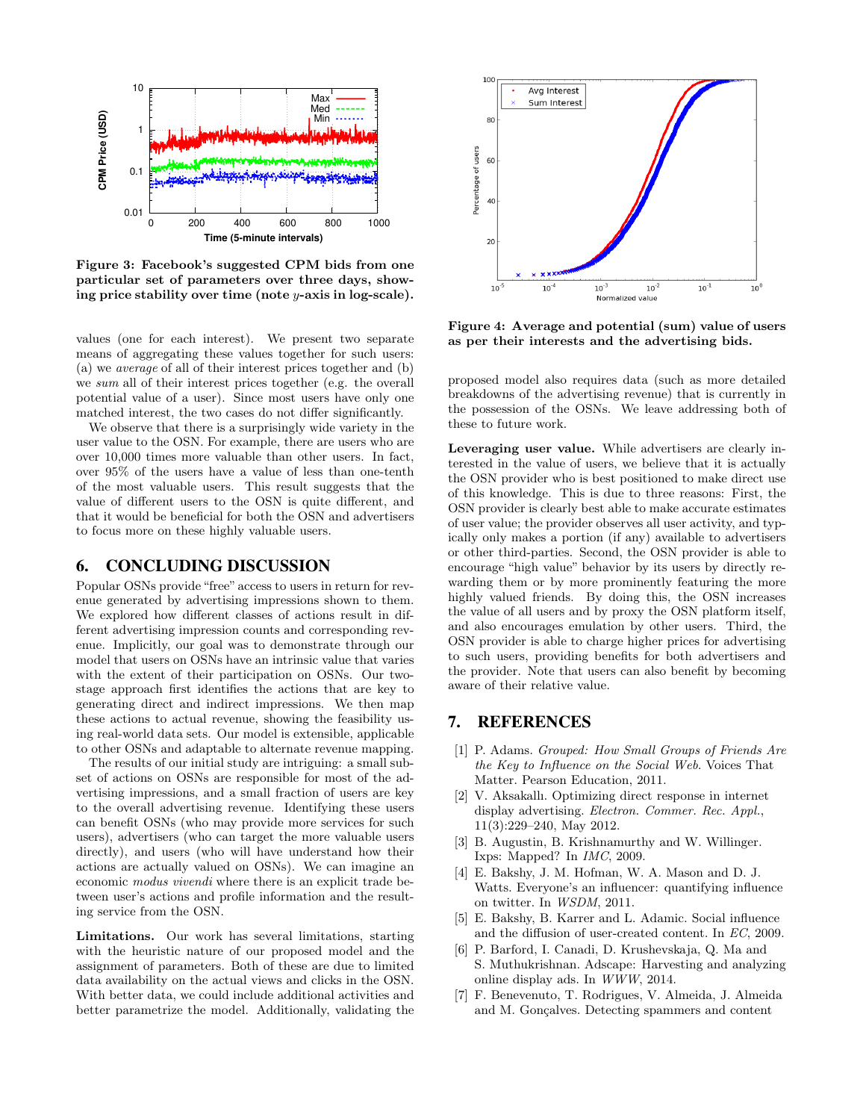

Figure 3: Facebook's suggested CPM bids from one particular set of parameters over three days, showing price stability over time (note *y*-axis in log-scale).

values (one for each interest). We present two separate means of aggregating these values together for such users: (a) we *average* of all of their interest prices together and (b) we *sum* all of their interest prices together (e.g. the overall potential value of a user). Since most users have only one matched interest, the two cases do not differ significantly.

We observe that there is a surprisingly wide variety in the user value to the OSN. For example, there are users who are over 10,000 times more valuable than other users. In fact, over 95% of the users have a value of less than one-tenth of the most valuable users. This result suggests that the value of different users to the OSN is quite different, and that it would be beneficial for both the OSN and advertisers to focus more on these highly valuable users.

#### 6. CONCLUDING DISCUSSION

Popular OSNs provide "free" access to users in return for revenue generated by advertising impressions shown to them. We explored how different classes of actions result in different advertising impression counts and corresponding revenue. Implicitly, our goal was to demonstrate through our model that users on OSNs have an intrinsic value that varies with the extent of their participation on OSNs. Our twostage approach first identifies the actions that are key to generating direct and indirect impressions. We then map these actions to actual revenue, showing the feasibility using real-world data sets. Our model is extensible, applicable to other OSNs and adaptable to alternate revenue mapping.

The results of our initial study are intriguing: a small subset of actions on OSNs are responsible for most of the advertising impressions, and a small fraction of users are key to the overall advertising revenue. Identifying these users can benefit OSNs (who may provide more services for such users), advertisers (who can target the more valuable users directly), and users (who will have understand how their actions are actually valued on OSNs). We can imagine an economic *modus vivendi* where there is an explicit trade between user's actions and profile information and the resulting service from the OSN.

Limitations. Our work has several limitations, starting with the heuristic nature of our proposed model and the assignment of parameters. Both of these are due to limited data availability on the actual views and clicks in the OSN. With better data, we could include additional activities and better parametrize the model. Additionally, validating the



Figure 4: Average and potential (sum) value of users as per their interests and the advertising bids.

proposed model also requires data (such as more detailed breakdowns of the advertising revenue) that is currently in the possession of the OSNs. We leave addressing both of these to future work.

Leveraging user value. While advertisers are clearly interested in the value of users, we believe that it is actually the OSN provider who is best positioned to make direct use of this knowledge. This is due to three reasons: First, the OSN provider is clearly best able to make accurate estimates of user value; the provider observes all user activity, and typically only makes a portion (if any) available to advertisers or other third-parties. Second, the OSN provider is able to encourage "high value" behavior by its users by directly rewarding them or by more prominently featuring the more highly valued friends. By doing this, the OSN increases the value of all users and by proxy the OSN platform itself, and also encourages emulation by other users. Third, the OSN provider is able to charge higher prices for advertising to such users, providing benefits for both advertisers and the provider. Note that users can also benefit by becoming aware of their relative value.

# 7. REFERENCES

- [1] P. Adams. *Grouped: How Small Groups of Friends Are the Key to Influence on the Social Web*. Voices That Matter. Pearson Education, 2011.
- [2] V. Aksakallı. Optimizing direct response in internet display advertising. *Electron. Commer. Rec. Appl.*, 11(3):229–240, May 2012.
- [3] B. Augustin, B. Krishnamurthy and W. Willinger. Ixps: Mapped? In *IMC*, 2009.
- [4] E. Bakshy, J. M. Hofman, W. A. Mason and D. J. Watts. Everyone's an influencer: quantifying influence on twitter. In *WSDM*, 2011.
- [5] E. Bakshy, B. Karrer and L. Adamic. Social influence and the diffusion of user-created content. In *EC*, 2009.
- [6] P. Barford, I. Canadi, D. Krushevskaja, Q. Ma and S. Muthukrishnan. Adscape: Harvesting and analyzing online display ads. In *WWW*, 2014.
- [7] F. Benevenuto, T. Rodrigues, V. Almeida, J. Almeida and M. Gonçalves. Detecting spammers and content